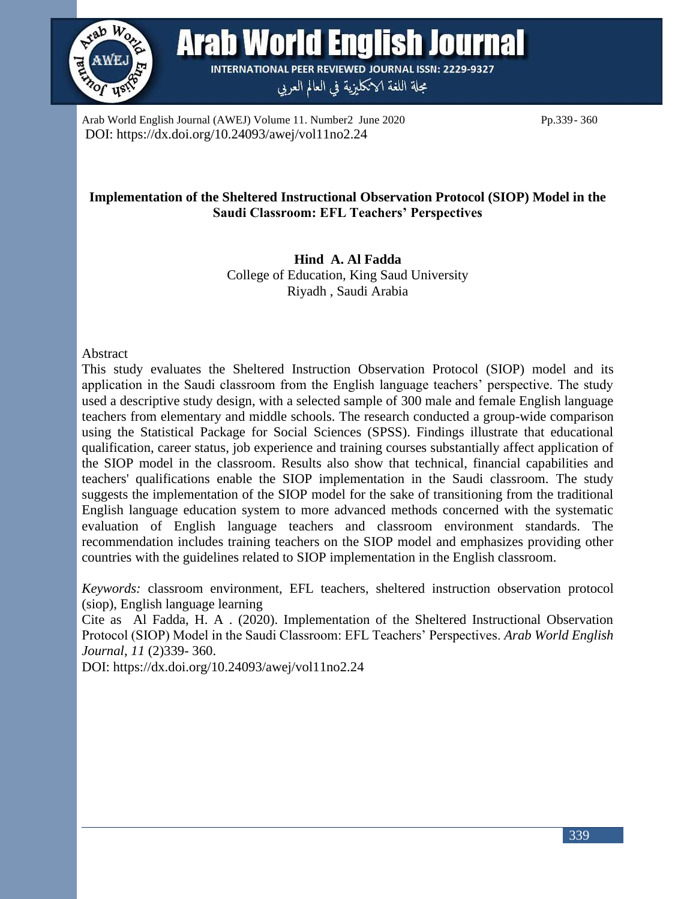

Arab World English Journal **INTERNATIONAL PEER REVIEWED JOURNAL ISSN: 2229-9327** 

مجلة اللغة الانكليزية في العالم العربي

Arab World English Journal (AWEJ) Volume 11. Number2 June 2020 Pp.339- 360 DOI: https://dx.doi.org/10.24093/awej/vol11no2.24

# **Implementation of the Sheltered Instructional Observation Protocol (SIOP) Model in the Saudi Classroom: EFL Teachers' Perspectives**

**Hind A. Al Fadda** College of Education, King Saud University Riyadh , Saudi Arabia

#### Abstract

This study evaluates the Sheltered Instruction Observation Protocol (SIOP) model and its application in the Saudi classroom from the English language teachers' perspective. The study used a descriptive study design, with a selected sample of 300 male and female English language teachers from elementary and middle schools. The research conducted a group-wide comparison using the Statistical Package for Social Sciences (SPSS). Findings illustrate that educational qualification, career status, job experience and training courses substantially affect application of the SIOP model in the classroom. Results also show that technical, financial capabilities and teachers' qualifications enable the SIOP implementation in the Saudi classroom. The study suggests the implementation of the SIOP model for the sake of transitioning from the traditional English language education system to more advanced methods concerned with the systematic evaluation of English language teachers and classroom environment standards. The recommendation includes training teachers on the SIOP model and emphasizes providing other countries with the guidelines related to SIOP implementation in the English classroom.

*Keywords:* classroom environment, EFL teachers, sheltered instruction observation protocol (siop), English language learning

Cite as Al Fadda, H. A . (2020). Implementation of the Sheltered Instructional Observation Protocol (SIOP) Model in the Saudi Classroom: EFL Teachers' Perspectives. *Arab World English Journal*, *11* (2)339- 360.

DOI: https://dx.doi.org/10.24093/awej/vol11no2.24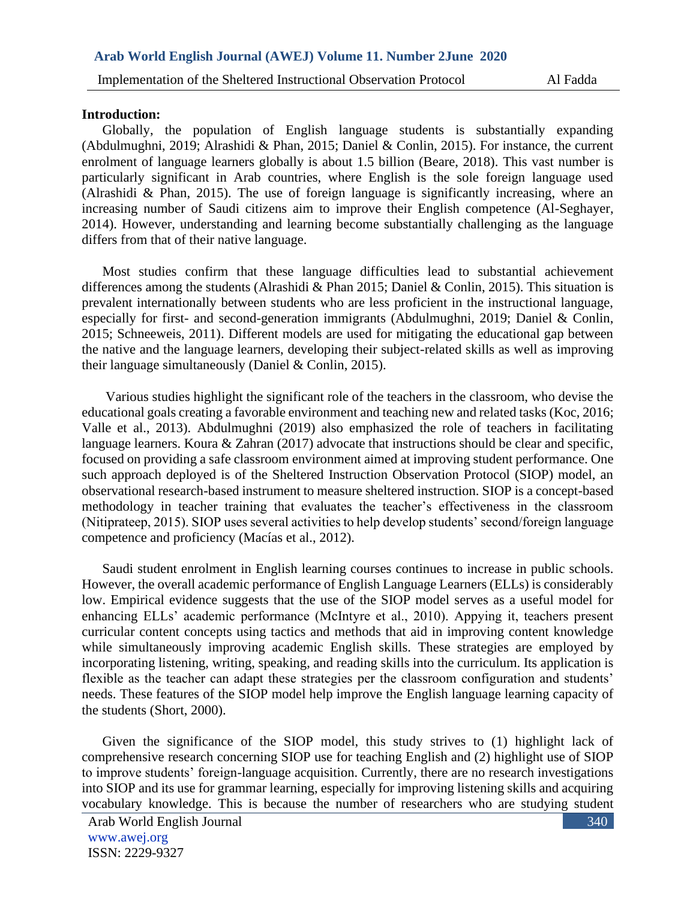#### **Introduction:**

Globally, the population of English language students is substantially expanding (Abdulmughni, 2019; Alrashidi & Phan, 2015; Daniel & Conlin, 2015). For instance, the current enrolment of language learners globally is about 1.5 billion (Beare, 2018). This vast number is particularly significant in Arab countries, where English is the sole foreign language used (Alrashidi & Phan, 2015). The use of foreign language is significantly increasing, where an increasing number of Saudi citizens aim to improve their English competence (Al-Seghayer, 2014). However, understanding and learning become substantially challenging as the language differs from that of their native language.

Most studies confirm that these language difficulties lead to substantial achievement differences among the students (Alrashidi & Phan 2015; Daniel & Conlin, 2015). This situation is prevalent internationally between students who are less proficient in the instructional language, especially for first- and second-generation immigrants (Abdulmughni, 2019; Daniel & Conlin, 2015; Schneeweis, 2011). Different models are used for mitigating the educational gap between the native and the language learners, developing their subject-related skills as well as improving their language simultaneously (Daniel & Conlin, 2015).

Various studies highlight the significant role of the teachers in the classroom, who devise the educational goals creating a favorable environment and teaching new and related tasks (Koc, 2016; Valle et al., 2013). Abdulmughni (2019) also emphasized the role of teachers in facilitating language learners. Koura & Zahran (2017) advocate that instructions should be clear and specific, focused on providing a safe classroom environment aimed at improving student performance. One such approach deployed is of the Sheltered Instruction Observation Protocol (SIOP) model, an observational research-based instrument to measure sheltered instruction. SIOP is a concept-based methodology in teacher training that evaluates the teacher's effectiveness in the classroom (Nitiprateep, 2015). SIOP uses several activities to help develop students' second/foreign language competence and proficiency (Macías et al., 2012).

Saudi student enrolment in English learning courses continues to increase in public schools. However, the overall academic performance of English Language Learners (ELLs) is considerably low. Empirical evidence suggests that the use of the SIOP model serves as a useful model for enhancing ELLs' academic performance (McIntyre et al., 2010). Appying it, teachers present curricular content concepts using tactics and methods that aid in improving content knowledge while simultaneously improving academic English skills. These strategies are employed by incorporating listening, writing, speaking, and reading skills into the curriculum. Its application is flexible as the teacher can adapt these strategies per the classroom configuration and students' needs. These features of the SIOP model help improve the English language learning capacity of the students (Short, 2000).

Given the significance of the SIOP model, this study strives to (1) highlight lack of comprehensive research concerning SIOP use for teaching English and (2) highlight use of SIOP to improve students' foreign-language acquisition. Currently, there are no research investigations into SIOP and its use for grammar learning, especially for improving listening skills and acquiring vocabulary knowledge. This is because the number of researchers who are studying student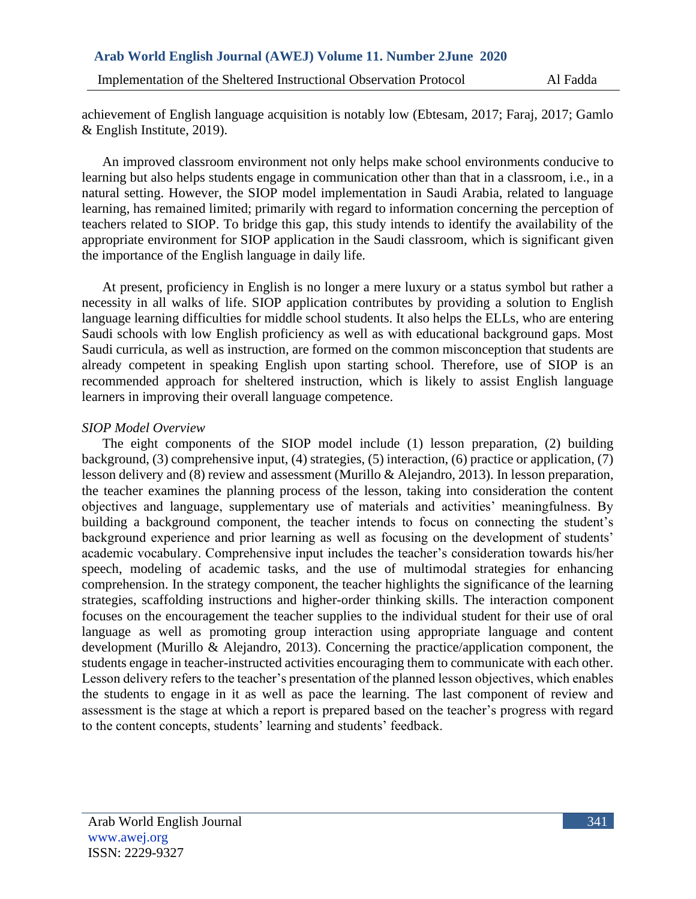achievement of English language acquisition is notably low (Ebtesam, 2017; Faraj, 2017; Gamlo & English Institute, 2019).

An improved classroom environment not only helps make school environments conducive to learning but also helps students engage in communication other than that in a classroom, i.e., in a natural setting. However, the SIOP model implementation in Saudi Arabia, related to language learning, has remained limited; primarily with regard to information concerning the perception of teachers related to SIOP. To bridge this gap, this study intends to identify the availability of the appropriate environment for SIOP application in the Saudi classroom, which is significant given the importance of the English language in daily life.

At present, proficiency in English is no longer a mere luxury or a status symbol but rather a necessity in all walks of life. SIOP application contributes by providing a solution to English language learning difficulties for middle school students. It also helps the ELLs, who are entering Saudi schools with low English proficiency as well as with educational background gaps. Most Saudi curricula, as well as instruction, are formed on the common misconception that students are already competent in speaking English upon starting school. Therefore, use of SIOP is an recommended approach for sheltered instruction, which is likely to assist English language learners in improving their overall language competence.

### *SIOP Model Overview*

The eight components of the SIOP model include (1) lesson preparation, (2) building background, (3) comprehensive input, (4) strategies, (5) interaction, (6) practice or application, (7) lesson delivery and (8) review and assessment (Murillo & Alejandro, 2013). In lesson preparation, the teacher examines the planning process of the lesson, taking into consideration the content objectives and language, supplementary use of materials and activities' meaningfulness. By building a background component, the teacher intends to focus on connecting the student's background experience and prior learning as well as focusing on the development of students' academic vocabulary. Comprehensive input includes the teacher's consideration towards his/her speech, modeling of academic tasks, and the use of multimodal strategies for enhancing comprehension. In the strategy component, the teacher highlights the significance of the learning strategies, scaffolding instructions and higher-order thinking skills. The interaction component focuses on the encouragement the teacher supplies to the individual student for their use of oral language as well as promoting group interaction using appropriate language and content development (Murillo & Alejandro, 2013). Concerning the practice/application component, the students engage in teacher-instructed activities encouraging them to communicate with each other. Lesson delivery refers to the teacher's presentation of the planned lesson objectives, which enables the students to engage in it as well as pace the learning. The last component of review and assessment is the stage at which a report is prepared based on the teacher's progress with regard to the content concepts, students' learning and students' feedback.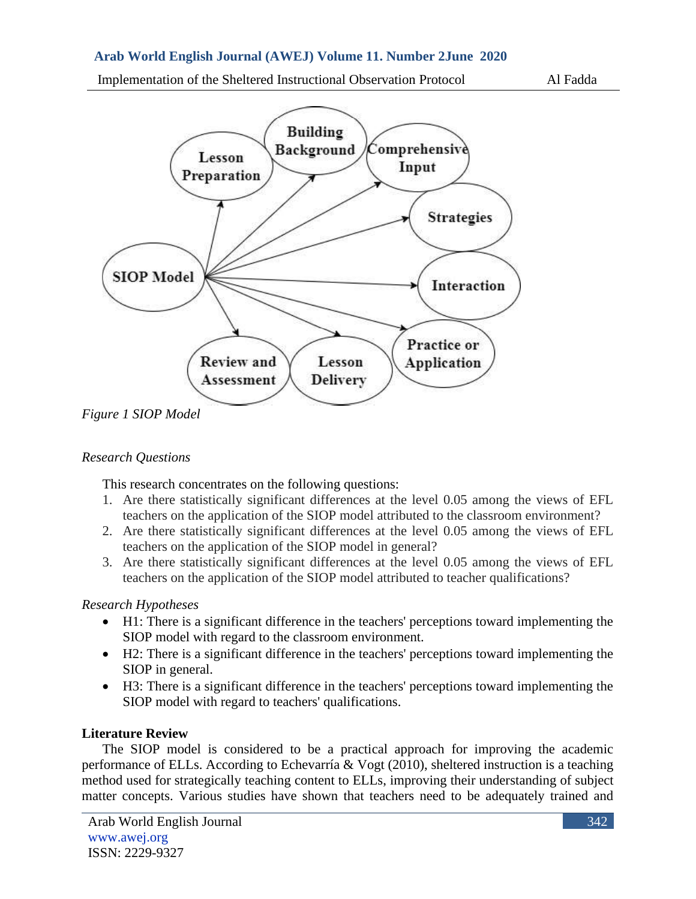Implementation of the Sheltered Instructional Observation Protocol Al Fadda





*Figure 1 SIOP Model*

# *Research Questions*

This research concentrates on the following questions:

- 1. Are there statistically significant differences at the level 0.05 among the views of EFL teachers on the application of the SIOP model attributed to the classroom environment?
- 2. Are there statistically significant differences at the level 0.05 among the views of EFL teachers on the application of the SIOP model in general?
- 3. Are there statistically significant differences at the level 0.05 among the views of EFL teachers on the application of the SIOP model attributed to teacher qualifications?

# *Research Hypotheses*

- H1: There is a significant difference in the teachers' perceptions toward implementing the SIOP model with regard to the classroom environment.
- H2: There is a significant difference in the teachers' perceptions toward implementing the SIOP in general.
- H3: There is a significant difference in the teachers' perceptions toward implementing the SIOP model with regard to teachers' qualifications.

# **Literature Review**

The SIOP model is considered to be a practical approach for improving the academic performance of ELLs. According to Echevarría & Vogt (2010), sheltered instruction is a teaching method used for strategically teaching content to ELLs, improving their understanding of subject matter concepts. Various studies have shown that teachers need to be adequately trained and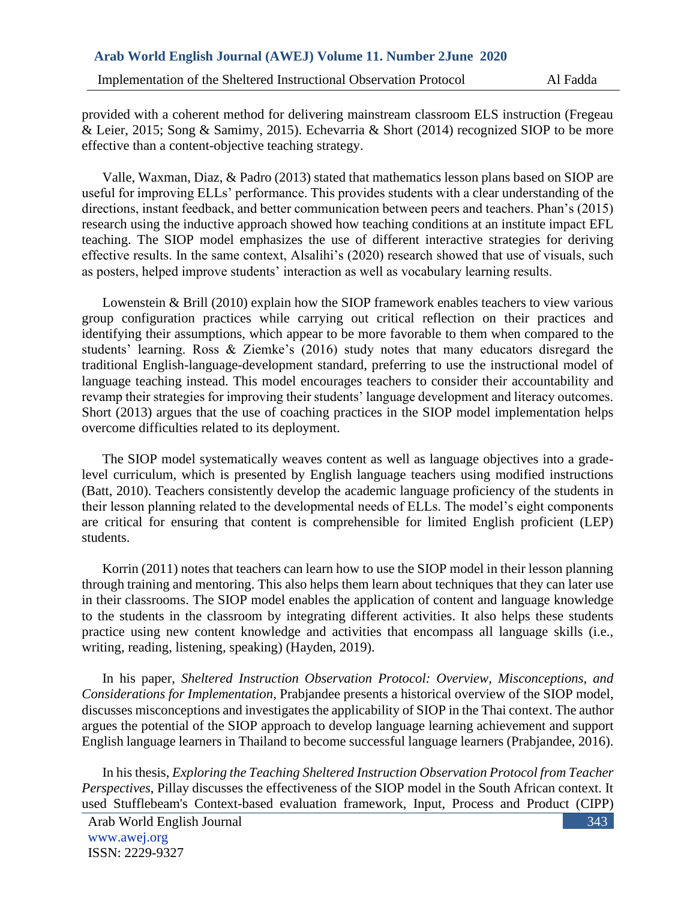provided with a coherent method for delivering mainstream classroom ELS instruction (Fregeau & Leier, 2015; Song & Samimy, 2015). Echevarria & Short (2014) recognized SIOP to be more effective than a content-objective teaching strategy.

Valle, Waxman, Diaz, & Padro (2013) stated that mathematics lesson plans based on SIOP are useful for improving ELLs' performance. This provides students with a clear understanding of the directions, instant feedback, and better communication between peers and teachers. Phan's (2015) research using the inductive approach showed how teaching conditions at an institute impact EFL teaching. The SIOP model emphasizes the use of different interactive strategies for deriving effective results. In the same context, Alsalihi's (2020) research showed that use of visuals, such as posters, helped improve students' interaction as well as vocabulary learning results.

Lowenstein & Brill (2010) explain how the SIOP framework enables teachers to view various group configuration practices while carrying out critical reflection on their practices and identifying their assumptions, which appear to be more favorable to them when compared to the students' learning. Ross & Ziemke's (2016) study notes that many educators disregard the traditional English-language-development standard, preferring to use the instructional model of language teaching instead. This model encourages teachers to consider their accountability and revamp their strategies for improving their students' language development and literacy outcomes. Short (2013) argues that the use of coaching practices in the SIOP model implementation helps overcome difficulties related to its deployment.

The SIOP model systematically weaves content as well as language objectives into a gradelevel curriculum, which is presented by English language teachers using modified instructions (Batt, 2010). Teachers consistently develop the academic language proficiency of the students in their lesson planning related to the developmental needs of ELLs. The model's eight components are critical for ensuring that content is comprehensible for limited English proficient (LEP) students.

Korrin (2011) notes that teachers can learn how to use the SIOP model in their lesson planning through training and mentoring. This also helps them learn about techniques that they can later use in their classrooms. The SIOP model enables the application of content and language knowledge to the students in the classroom by integrating different activities. It also helps these students practice using new content knowledge and activities that encompass all language skills (i.e., writing, reading, listening, speaking) (Hayden, 2019).

In his paper, *Sheltered Instruction Observation Protocol: Overview, Misconceptions, and Considerations for Implementation*, Prabjandee presents a historical overview of the SIOP model, discusses misconceptions and investigates the applicability of SIOP in the Thai context. The author argues the potential of the SIOP approach to develop language learning achievement and support English language learners in Thailand to become successful language learners (Prabjandee, 2016).

In his thesis, *Exploring the Teaching Sheltered Instruction Observation Protocol from Teacher Perspectives*, Pillay discusses the effectiveness of the SIOP model in the South African context. It used Stufflebeam's Context-based evaluation framework, Input, Process and Product (CIPP)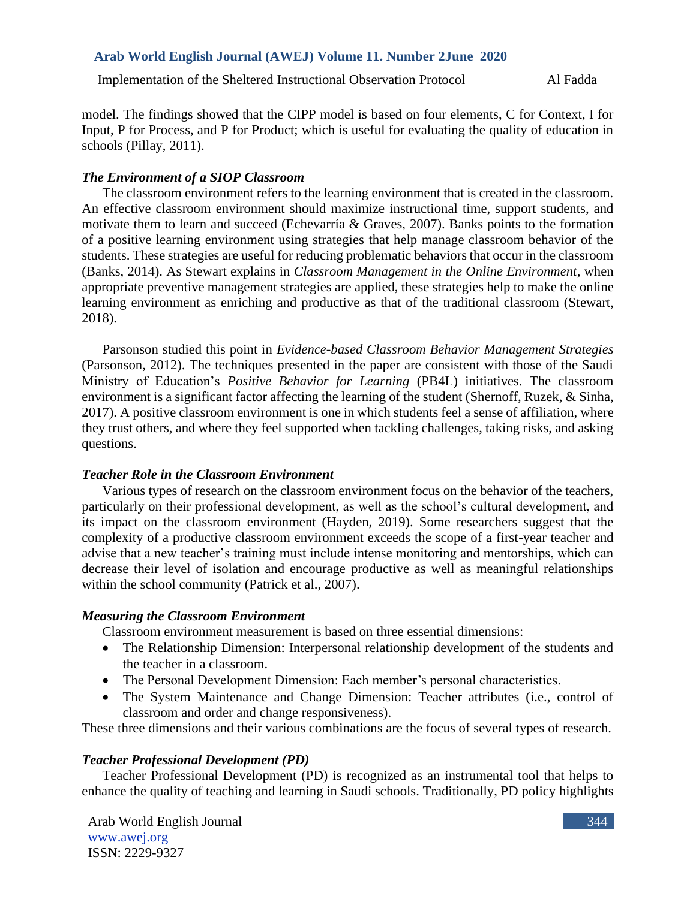model. The findings showed that the CIPP model is based on four elements, C for Context, I for Input, P for Process, and P for Product; which is useful for evaluating the quality of education in schools (Pillay, 2011).

### *The Environment of a SIOP Classroom*

The classroom environment refers to the learning environment that is created in the classroom. An effective classroom environment should maximize instructional time, support students, and motivate them to learn and succeed (Echevarría & Graves, 2007). Banks points to the formation of a positive learning environment using strategies that help manage classroom behavior of the students. These strategies are useful for reducing problematic behaviors that occur in the classroom (Banks, 2014). As Stewart explains in *Classroom Management in the Online Environment*, when appropriate preventive management strategies are applied, these strategies help to make the online learning environment as enriching and productive as that of the traditional classroom (Stewart, 2018).

Parsonson studied this point in *Evidence-based Classroom Behavior Management Strategies* (Parsonson, 2012). The techniques presented in the paper are consistent with those of the Saudi Ministry of Education's *Positive Behavior for Learning* (PB4L) initiatives. The classroom environment is a significant factor affecting the learning of the student (Shernoff, Ruzek, & Sinha, 2017). A positive classroom environment is one in which students feel a sense of affiliation, where they trust others, and where they feel supported when tackling challenges, taking risks, and asking questions.

# *Teacher Role in the Classroom Environment*

Various types of research on the classroom environment focus on the behavior of the teachers, particularly on their professional development, as well as the school's cultural development, and its impact on the classroom environment (Hayden, 2019). Some researchers suggest that the complexity of a productive classroom environment exceeds the scope of a first-year teacher and advise that a new teacher's training must include intense monitoring and mentorships, which can decrease their level of isolation and encourage productive as well as meaningful relationships within the school community (Patrick et al., 2007).

# *Measuring the Classroom Environment*

Classroom environment measurement is based on three essential dimensions:

- The Relationship Dimension: Interpersonal relationship development of the students and the teacher in a classroom.
- The Personal Development Dimension: Each member's personal characteristics.
- The System Maintenance and Change Dimension: Teacher attributes (i.e., control of classroom and order and change responsiveness).

These three dimensions and their various combinations are the focus of several types of research.

# *Teacher Professional Development (PD)*

Teacher Professional Development (PD) is recognized as an instrumental tool that helps to enhance the quality of teaching and learning in Saudi schools. Traditionally, PD policy highlights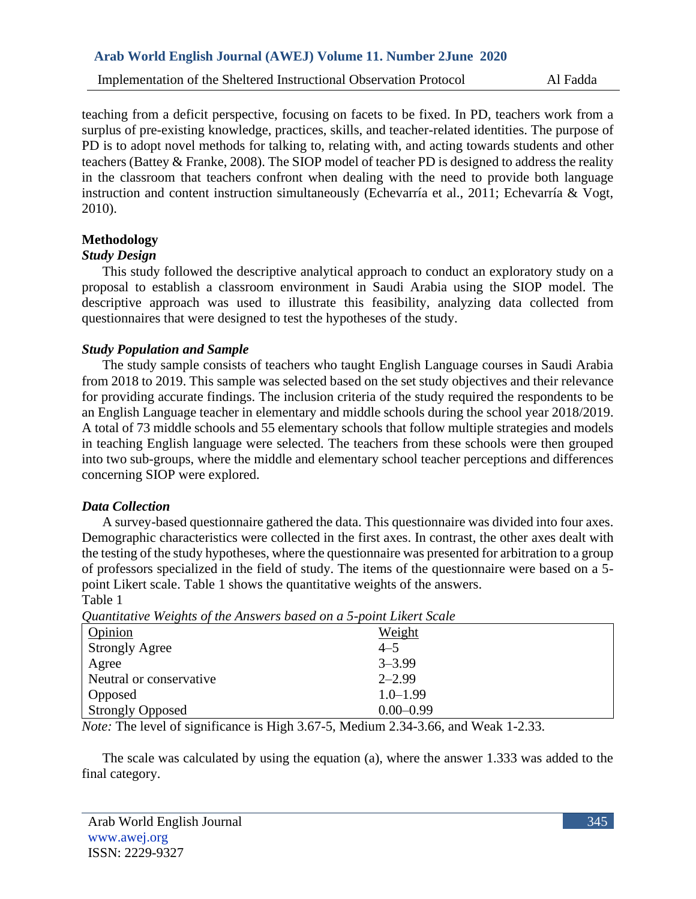teaching from a deficit perspective, focusing on facets to be fixed. In PD, teachers work from a surplus of pre-existing knowledge, practices, skills, and teacher-related identities. The purpose of PD is to adopt novel methods for talking to, relating with, and acting towards students and other teachers (Battey & Franke, 2008). The SIOP model of teacher PD is designed to address the reality in the classroom that teachers confront when dealing with the need to provide both language instruction and content instruction simultaneously (Echevarría et al., 2011; Echevarría & Vogt, 2010).

# **Methodology**

# *Study Design*

This study followed the descriptive analytical approach to conduct an exploratory study on a proposal to establish a classroom environment in Saudi Arabia using the SIOP model. The descriptive approach was used to illustrate this feasibility, analyzing data collected from questionnaires that were designed to test the hypotheses of the study.

# *Study Population and Sample*

The study sample consists of teachers who taught English Language courses in Saudi Arabia from 2018 to 2019. This sample was selected based on the set study objectives and their relevance for providing accurate findings. The inclusion criteria of the study required the respondents to be an English Language teacher in elementary and middle schools during the school year 2018/2019. A total of 73 middle schools and 55 elementary schools that follow multiple strategies and models in teaching English language were selected. The teachers from these schools were then grouped into two sub-groups, where the middle and elementary school teacher perceptions and differences concerning SIOP were explored.

# *Data Collection*

A survey-based questionnaire gathered the data. This questionnaire was divided into four axes. Demographic characteristics were collected in the first axes. In contrast, the other axes dealt with the testing of the study hypotheses, where the questionnaire was presented for arbitration to a group of professors specialized in the field of study. The items of the questionnaire were based on a 5 point Likert scale. Table 1 shows the quantitative weights of the answers. Table 1

|                                                             | <i>Quantuallyc</i> Weights of the Amswers based on a 3-point Likert Scale                                                                                                                                                                                                                                                                                                                                                                                                         |
|-------------------------------------------------------------|-----------------------------------------------------------------------------------------------------------------------------------------------------------------------------------------------------------------------------------------------------------------------------------------------------------------------------------------------------------------------------------------------------------------------------------------------------------------------------------|
| Opinion                                                     | Weight                                                                                                                                                                                                                                                                                                                                                                                                                                                                            |
| <b>Strongly Agree</b>                                       | $4 - 5$                                                                                                                                                                                                                                                                                                                                                                                                                                                                           |
| Agree                                                       | $3 - 3.99$                                                                                                                                                                                                                                                                                                                                                                                                                                                                        |
| Neutral or conservative                                     | $2 - 2.99$                                                                                                                                                                                                                                                                                                                                                                                                                                                                        |
| <b>Opposed</b>                                              | $1.0 - 1.99$                                                                                                                                                                                                                                                                                                                                                                                                                                                                      |
| <b>Strongly Opposed</b>                                     | $0.00 - 0.99$                                                                                                                                                                                                                                                                                                                                                                                                                                                                     |
| $\cdot$ $\sim$<br>$\cdots$<br>$\mathbf{M}$ and $\mathbf{M}$ | $\begin{array}{c} \n\bullet \quad \bullet \quad \bullet \quad \bullet \quad \bullet \quad \bullet \quad \bullet \end{array}$<br>11111111AAA<br>$\mathbf{r}$ $\mathbf{r}$ $\mathbf{r}$ $\mathbf{r}$ $\mathbf{r}$ $\mathbf{r}$ $\mathbf{r}$ $\mathbf{r}$ $\mathbf{r}$ $\mathbf{r}$ $\mathbf{r}$ $\mathbf{r}$ $\mathbf{r}$ $\mathbf{r}$ $\mathbf{r}$ $\mathbf{r}$ $\mathbf{r}$ $\mathbf{r}$ $\mathbf{r}$ $\mathbf{r}$ $\mathbf{r}$ $\mathbf{r}$ $\mathbf{r}$ $\mathbf{r}$ $\mathbf{$ |

*Quantitative Weights of the Answers based on a 5-point Likert Scale*

*Note:* The level of significance is High 3.67-5, Medium 2.34-3.66, and Weak 1-2.33.

The scale was calculated by using the equation (a), where the answer 1.333 was added to the final category.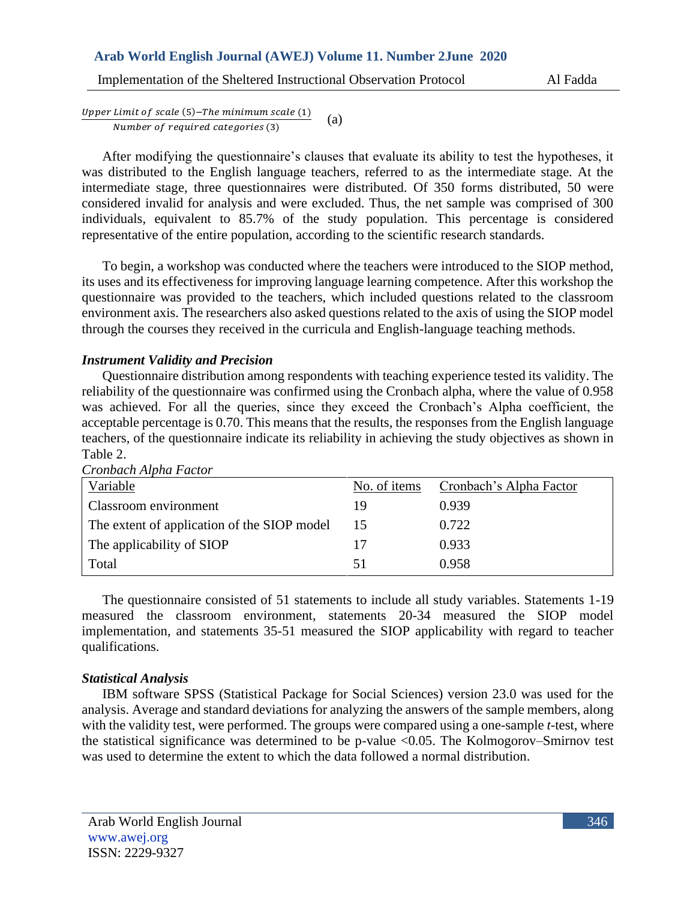Implementation of the Sheltered Instructional Observation Protocol Al Fadda

Upper Limit of scale (5)-The minimum scale (1) Number of required categories (3) (a)

After modifying the questionnaire's clauses that evaluate its ability to test the hypotheses, it was distributed to the English language teachers, referred to as the intermediate stage. At the intermediate stage, three questionnaires were distributed. Of 350 forms distributed, 50 were considered invalid for analysis and were excluded. Thus, the net sample was comprised of 300 individuals, equivalent to 85.7% of the study population. This percentage is considered representative of the entire population, according to the scientific research standards.

To begin, a workshop was conducted where the teachers were introduced to the SIOP method, its uses and its effectiveness for improving language learning competence. After this workshop the questionnaire was provided to the teachers, which included questions related to the classroom environment axis. The researchers also asked questions related to the axis of using the SIOP model through the courses they received in the curricula and English-language teaching methods.

### *Instrument Validity and Precision*

Questionnaire distribution among respondents with teaching experience tested its validity. The reliability of the questionnaire was confirmed using the Cronbach alpha, where the value of 0.958 was achieved. For all the queries, since they exceed the Cronbach's Alpha coefficient, the acceptable percentage is 0.70. This means that the results, the responses from the English language teachers, of the questionnaire indicate its reliability in achieving the study objectives as shown in Table 2.

| No. of items | Cronbach's Alpha Factor |
|--------------|-------------------------|
| 19           | 0.939                   |
| 15           | 0.722                   |
|              | 0.933                   |
| 51           | 0.958                   |
|              |                         |

*Cronbach Alpha Factor*

The questionnaire consisted of 51 statements to include all study variables. Statements 1-19 measured the classroom environment, statements 20-34 measured the SIOP model implementation, and statements 35-51 measured the SIOP applicability with regard to teacher qualifications.

# *Statistical Analysis*

IBM software SPSS (Statistical Package for Social Sciences) version 23.0 was used for the analysis. Average and standard deviations for analyzing the answers of the sample members, along with the validity test, were performed. The groups were compared using a one-sample *t-*test, where the statistical significance was determined to be p-value <0.05. The Kolmogorov–Smirnov test was used to determine the extent to which the data followed a normal distribution.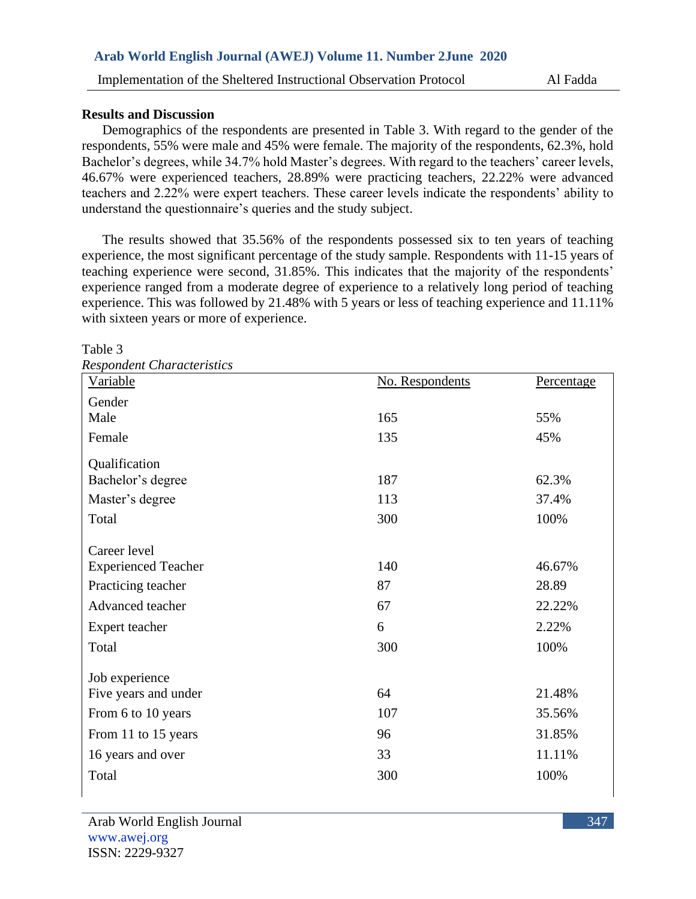#### **Results and Discussion**

Demographics of the respondents are presented in Table 3. With regard to the gender of the respondents, 55% were male and 45% were female. The majority of the respondents, 62.3%, hold Bachelor's degrees, while 34.7% hold Master's degrees. With regard to the teachers' career levels, 46.67% were experienced teachers, 28.89% were practicing teachers, 22.22% were advanced teachers and 2.22% were expert teachers. These career levels indicate the respondents' ability to understand the questionnaire's queries and the study subject.

The results showed that 35.56% of the respondents possessed six to ten years of teaching experience, the most significant percentage of the study sample. Respondents with 11-15 years of teaching experience were second, 31.85%. This indicates that the majority of the respondents' experience ranged from a moderate degree of experience to a relatively long period of teaching experience. This was followed by 21.48% with 5 years or less of teaching experience and 11.11% with sixteen years or more of experience.

| <b>Respondent Characteristics</b> |                 |            |
|-----------------------------------|-----------------|------------|
| Variable                          | No. Respondents | Percentage |
| Gender                            |                 |            |
| Male                              | 165             | 55%        |
| Female                            | 135             | 45%        |
| Qualification                     |                 |            |
| Bachelor's degree                 | 187             | 62.3%      |
| Master's degree                   | 113             | 37.4%      |
| Total                             | 300             | 100%       |
| Career level                      |                 |            |
| <b>Experienced Teacher</b>        | 140             | 46.67%     |
| Practicing teacher                | 87              | 28.89      |
| Advanced teacher                  | 67              | 22.22%     |
| Expert teacher                    | 6               | 2.22%      |
| Total                             | 300             | 100%       |
| Job experience                    |                 |            |
| Five years and under              | 64              | 21.48%     |
| From 6 to 10 years                | 107             | 35.56%     |
| From 11 to 15 years               | 96              | 31.85%     |
| 16 years and over                 | 33              | 11.11%     |
| Total                             | 300             | 100%       |

Table 3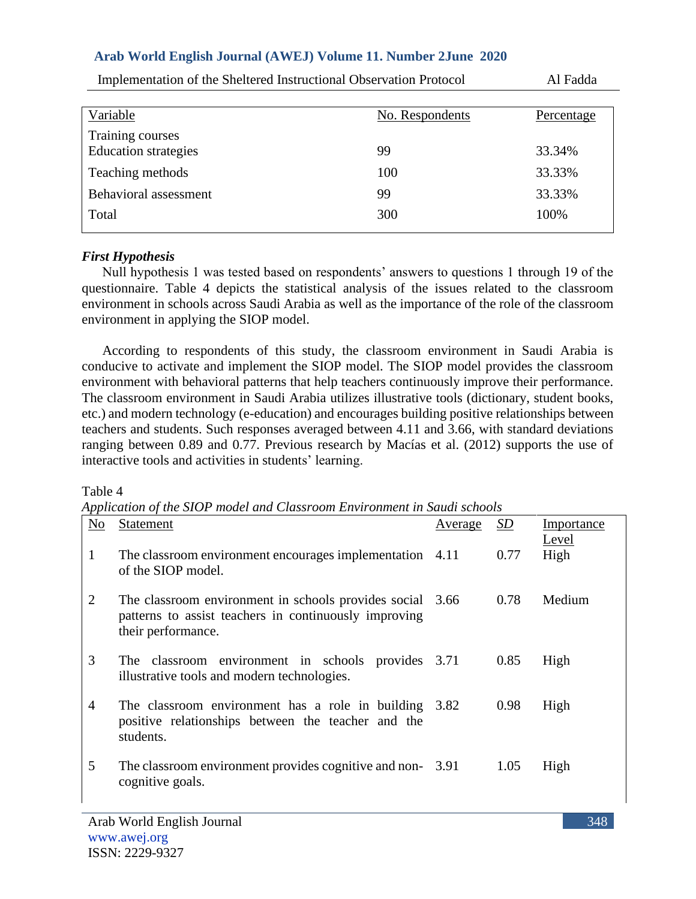| Variable                    | No. Respondents | Percentage |
|-----------------------------|-----------------|------------|
| Training courses            |                 |            |
| <b>Education</b> strategies | 99              | 33.34%     |
| Teaching methods            | 100             | 33.33%     |
| Behavioral assessment       | 99              | 33.33%     |
| Total                       | 300             | 100%       |
|                             |                 |            |

Implementation of the Sheltered Instructional Observation Protocol Al Fadda

# *First Hypothesis*

Null hypothesis 1 was tested based on respondents' answers to questions 1 through 19 of the questionnaire. Table 4 depicts the statistical analysis of the issues related to the classroom environment in schools across Saudi Arabia as well as the importance of the role of the classroom environment in applying the SIOP model.

According to respondents of this study, the classroom environment in Saudi Arabia is conducive to activate and implement the SIOP model. The SIOP model provides the classroom environment with behavioral patterns that help teachers continuously improve their performance. The classroom environment in Saudi Arabia utilizes illustrative tools (dictionary, student books, etc.) and modern technology (e-education) and encourages building positive relationships between teachers and students. Such responses averaged between 4.11 and 3.66, with standard deviations ranging between 0.89 and 0.77. Previous research by Macías et al. (2012) supports the use of interactive tools and activities in students' learning.

#### Table 4

*Application of the SIOP model and Classroom Environment in Saudi schools*

| N <sub>o</sub> | <b>Statement</b>                                                                                                                         | <u>Average</u> | SD   | Importance    |
|----------------|------------------------------------------------------------------------------------------------------------------------------------------|----------------|------|---------------|
| 1              | The classroom environment encourages implementation 4.11<br>of the SIOP model.                                                           |                | 0.77 | Level<br>High |
| 2              | The classroom environment in schools provides social 3.66<br>patterns to assist teachers in continuously improving<br>their performance. |                | 0.78 | Medium        |
| 3              | The classroom environment in schools provides 3.71<br>illustrative tools and modern technologies.                                        |                | 0.85 | High          |
| 4              | The classroom environment has a role in building 3.82<br>positive relationships between the teacher and the<br>students.                 |                | 0.98 | High          |
| 5              | The classroom environment provides cognitive and non-3.91<br>cognitive goals.                                                            |                | 1.05 | High          |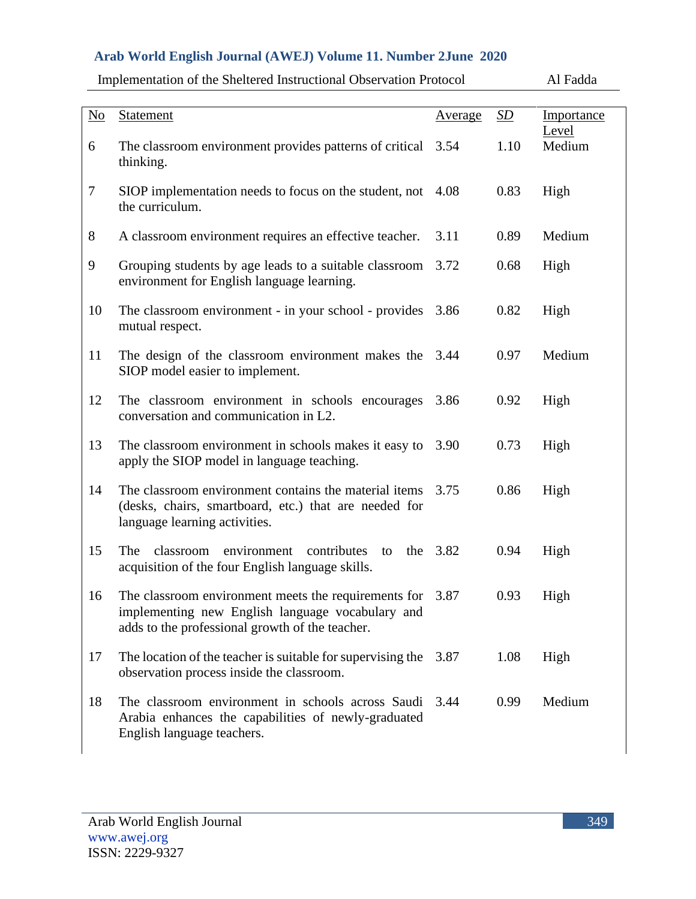| $\underline{\mathrm{No}}$ | <b>Statement</b>                                                                                                                                                   | <u>Average</u> | SD   | Importance      |
|---------------------------|--------------------------------------------------------------------------------------------------------------------------------------------------------------------|----------------|------|-----------------|
| 6                         | The classroom environment provides patterns of critical 3.54<br>thinking.                                                                                          |                | 1.10 | Level<br>Medium |
| 7                         | SIOP implementation needs to focus on the student, not<br>the curriculum.                                                                                          | 4.08           | 0.83 | High            |
| 8                         | A classroom environment requires an effective teacher.                                                                                                             | 3.11           | 0.89 | Medium          |
| 9                         | Grouping students by age leads to a suitable classroom<br>environment for English language learning.                                                               | 3.72           | 0.68 | High            |
| 10                        | The classroom environment - in your school - provides<br>mutual respect.                                                                                           | 3.86           | 0.82 | High            |
| 11                        | The design of the classroom environment makes the 3.44<br>SIOP model easier to implement.                                                                          |                | 0.97 | Medium          |
| 12                        | The classroom environment in schools encourages<br>conversation and communication in L2.                                                                           | 3.86           | 0.92 | High            |
| 13                        | The classroom environment in schools makes it easy to<br>apply the SIOP model in language teaching.                                                                | 3.90           | 0.73 | High            |
| 14                        | The classroom environment contains the material items<br>(desks, chairs, smartboard, etc.) that are needed for<br>language learning activities.                    | 3.75           | 0.86 | High            |
| 15                        | The<br>classroom<br>environment<br>contributes<br>the<br>to<br>acquisition of the four English language skills.                                                    | 3.82           | 0.94 | High            |
| 16                        | The classroom environment meets the requirements for $3.87$<br>implementing new English language vocabulary and<br>adds to the professional growth of the teacher. |                | 0.93 | High            |
| 17                        | The location of the teacher is suitable for supervising the<br>observation process inside the classroom.                                                           | 3.87           | 1.08 | High            |
| 18                        | The classroom environment in schools across Saudi<br>Arabia enhances the capabilities of newly-graduated<br>English language teachers.                             | 3.44           | 0.99 | Medium          |

Implementation of the Sheltered Instructional Observation Protocol Al Fadda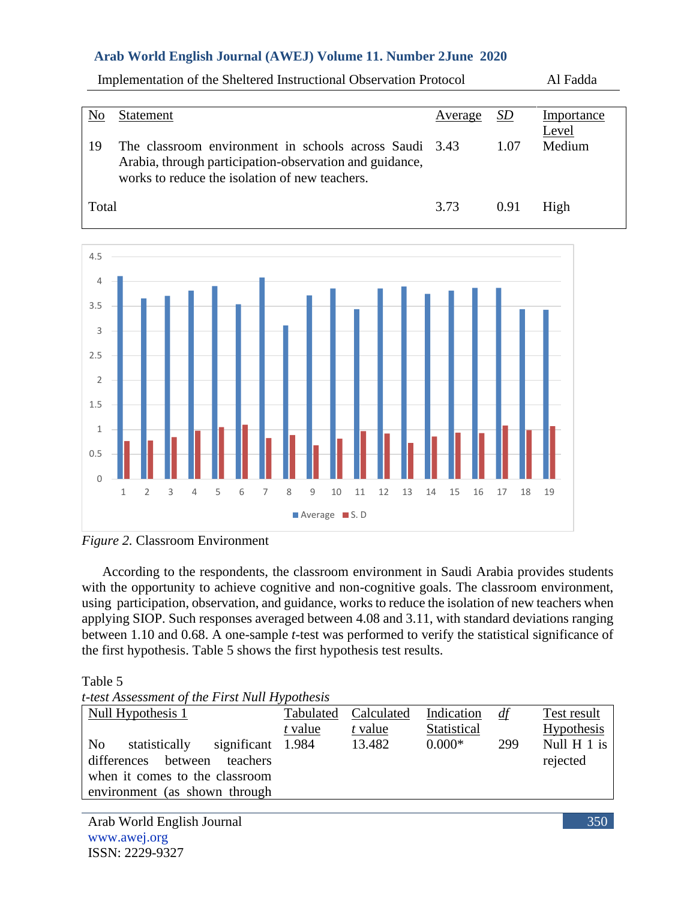| No    | Statement                                                                                                                                                           | Average | <i>SD</i> | Importance |
|-------|---------------------------------------------------------------------------------------------------------------------------------------------------------------------|---------|-----------|------------|
|       |                                                                                                                                                                     |         |           | Level      |
| 19    | The classroom environment in schools across Saudi 3.43<br>Arabia, through participation-observation and guidance,<br>works to reduce the isolation of new teachers. |         | 1.07      | Medium     |
| Total |                                                                                                                                                                     | 3.73    | 0.91      | High       |

Implementation of the Sheltered Instructional Observation Protocol Al Fadda



*Figure 2.* Classroom Environment

According to the respondents, the classroom environment in Saudi Arabia provides students with the opportunity to achieve cognitive and non-cognitive goals. The classroom environment, using participation, observation, and guidance, works to reduce the isolation of new teachers when applying SIOP. Such responses averaged between 4.08 and 3.11, with standard deviations ranging between 1.10 and 0.68. A one-sample *t-*test was performed to verify the statistical significance of the first hypothesis. Table 5 shows the first hypothesis test results.

Table 5

*t-test Assessment of the First Null Hypothesis*

| Null Hypothesis 1                  | Tabulated | Calculated | Indication  | df  | Test result       |
|------------------------------------|-----------|------------|-------------|-----|-------------------|
|                                    | t value   | t value    | Statistical |     | <b>Hypothesis</b> |
| No<br>statistically<br>significant | 1.984     | 13.482     | $0.000*$    | 299 | Null H 1 is       |
| differences between<br>teachers    |           |            |             |     | rejected          |
| when it comes to the classroom     |           |            |             |     |                   |
| environment (as shown through      |           |            |             |     |                   |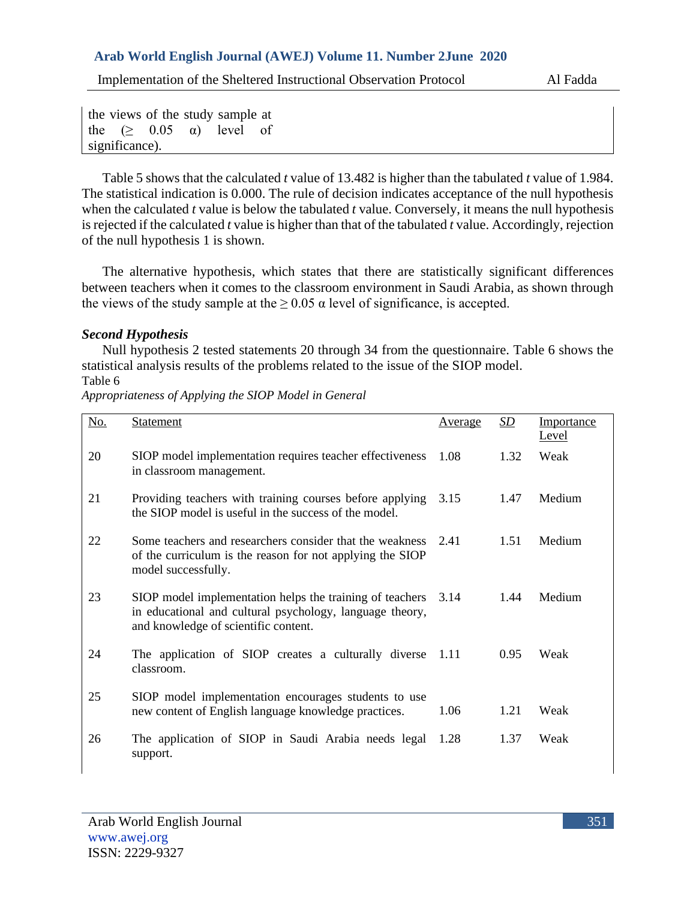Implementation of the Sheltered Instructional Observation Protocol Al Fadda

the views of the study sample at the  $(> 0.05 \alpha)$  level of significance).

Table 5 shows that the calculated *t* value of 13.482 is higher than the tabulated *t* value of 1.984. The statistical indication is 0.000. The rule of decision indicates acceptance of the null hypothesis when the calculated *t* value is below the tabulated *t* value. Conversely, it means the null hypothesis is rejected if the calculated *t* value is higher than that of the tabulated *t* value. Accordingly, rejection of the null hypothesis 1 is shown.

The alternative hypothesis, which states that there are statistically significant differences between teachers when it comes to the classroom environment in Saudi Arabia, as shown through the views of the study sample at the  $\geq 0.05$  a level of significance, is accepted.

# *Second Hypothesis*

Null hypothesis 2 tested statements 20 through 34 from the questionnaire. Table 6 shows the statistical analysis results of the problems related to the issue of the SIOP model. Table 6

No. Statement **Average** *SD* Importance Level 20 SIOP model implementation requires teacher effectiveness in classroom management. 1.08 1.32 Weak 21 Providing teachers with training courses before applying 3.15 the SIOP model is useful in the success of the model. 1.47 Medium 22 Some teachers and researchers consider that the weakness 2.41 of the curriculum is the reason for not applying the SIOP model successfully. 1.51 Medium 23 SIOP model implementation helps the training of teachers 3.14 in educational and cultural psychology, language theory, and knowledge of scientific content. 3.14 1.44 Medium 24 The application of SIOP creates a culturally diverse 1.11 classroom. 0.95 Weak 25 SIOP model implementation encourages students to use new content of English language knowledge practices.  $1.06$  1.21 Weak 26 The application of SIOP in Saudi Arabia needs legal 1.28 1.37 Weaksupport.

*Appropriateness of Applying the SIOP Model in General*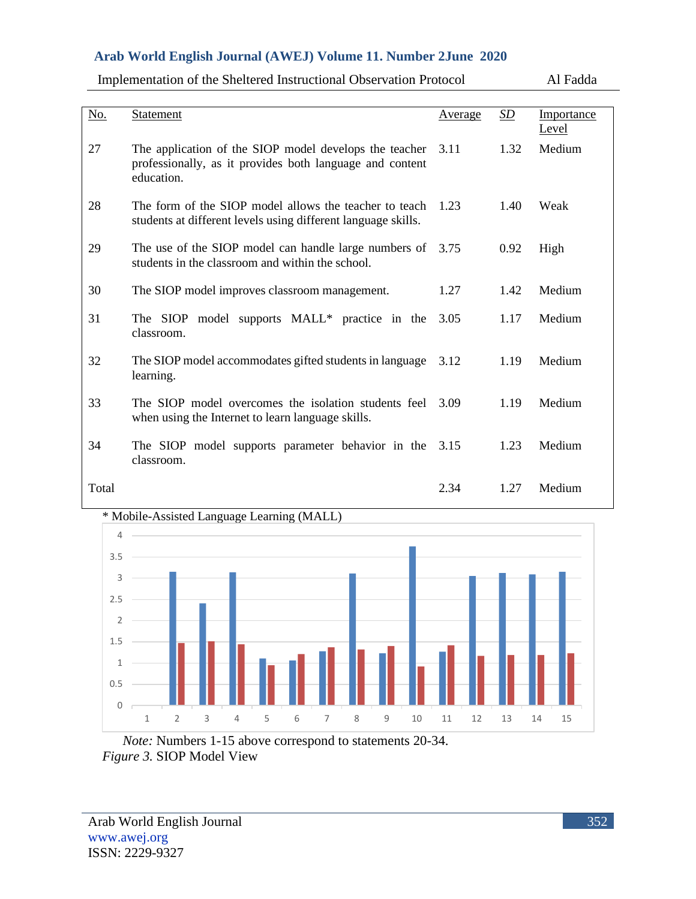Implementation of the Sheltered Instructional Observation Protocol Al Fadda

| No.   | <b>Statement</b>                                                                                                                 | Average | SD   | Importance<br>Level |
|-------|----------------------------------------------------------------------------------------------------------------------------------|---------|------|---------------------|
| 27    | The application of the SIOP model develops the teacher<br>professionally, as it provides both language and content<br>education. | 3.11    | 1.32 | Medium              |
| 28    | The form of the SIOP model allows the teacher to teach<br>students at different levels using different language skills.          | 1.23    | 1.40 | Weak                |
| 29    | The use of the SIOP model can handle large numbers of<br>students in the classroom and within the school.                        | 3.75    | 0.92 | High                |
| 30    | The SIOP model improves classroom management.                                                                                    | 1.27    | 1.42 | Medium              |
| 31    | The SIOP model supports MALL* practice in the<br>classroom.                                                                      | 3.05    | 1.17 | Medium              |
| 32    | The SIOP model accommodates gifted students in language<br>learning.                                                             | 3.12    | 1.19 | Medium              |
| 33    | The SIOP model overcomes the isolation students feel<br>when using the Internet to learn language skills.                        | 3.09    | 1.19 | Medium              |
| 34    | The SIOP model supports parameter behavior in the<br>classroom.                                                                  | 3.15    | 1.23 | Medium              |
| Total |                                                                                                                                  | 2.34    | 1.27 | Medium              |

#### \* Mobile-Assisted Language Learning (MALL)



*Note:* Numbers 1-15 above correspond to statements 20-34. *Figure 3.* SIOP Model View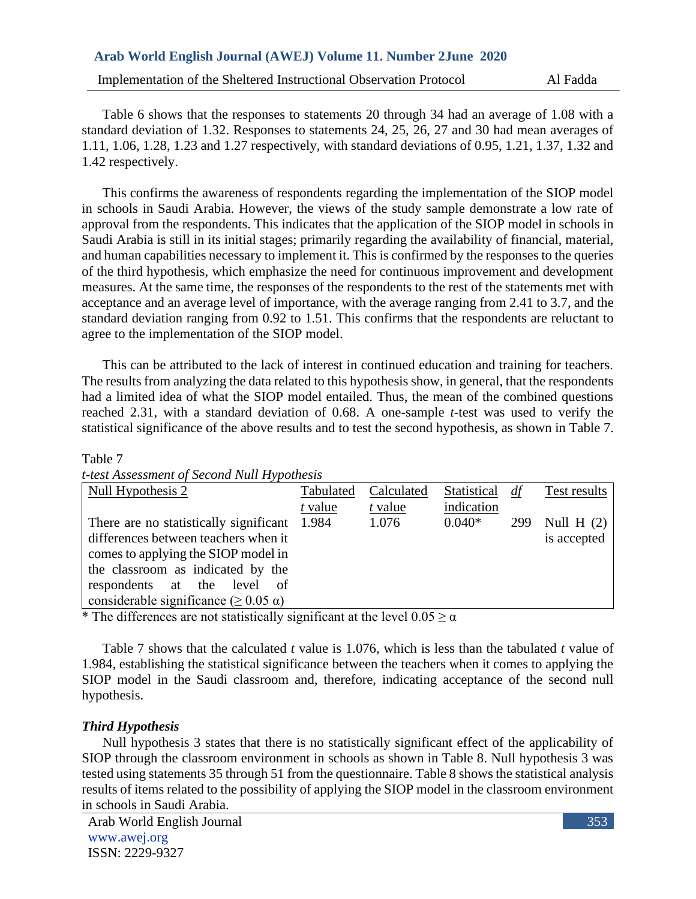Implementation of the Sheltered Instructional Observation Protocol Al Fadda

Table 6 shows that the responses to statements 20 through 34 had an average of 1.08 with a standard deviation of 1.32. Responses to statements 24, 25, 26, 27 and 30 had mean averages of 1.11, 1.06, 1.28, 1.23 and 1.27 respectively, with standard deviations of 0.95, 1.21, 1.37, 1.32 and 1.42 respectively.

This confirms the awareness of respondents regarding the implementation of the SIOP model in schools in Saudi Arabia. However, the views of the study sample demonstrate a low rate of approval from the respondents. This indicates that the application of the SIOP model in schools in Saudi Arabia is still in its initial stages; primarily regarding the availability of financial, material, and human capabilities necessary to implement it. This is confirmed by the responses to the queries of the third hypothesis, which emphasize the need for continuous improvement and development measures. At the same time, the responses of the respondents to the rest of the statements met with acceptance and an average level of importance, with the average ranging from 2.41 to 3.7, and the standard deviation ranging from 0.92 to 1.51. This confirms that the respondents are reluctant to agree to the implementation of the SIOP model.

This can be attributed to the lack of interest in continued education and training for teachers. The results from analyzing the data related to this hypothesis show, in general, that the respondents had a limited idea of what the SIOP model entailed. Thus, the mean of the combined questions reached 2.31, with a standard deviation of 0.68. A one-sample *t*-test was used to verify the statistical significance of the above results and to test the second hypothesis, as shown in Table 7.

#### Table 7

| t-test Assessment of Second Null Hypothesis |  |
|---------------------------------------------|--|
|                                             |  |

| Null Hypothesis 2                            | Tabulated | Calculated | <b>Statistical</b> | df  | Test results |
|----------------------------------------------|-----------|------------|--------------------|-----|--------------|
|                                              | t value   | t value    | indication         |     |              |
| There are no statistically significant 1.984 |           | 1.076      | $0.040*$           | 299 | Null $H(2)$  |
| differences between teachers when it         |           |            |                    |     | is accepted  |
| comes to applying the SIOP model in          |           |            |                    |     |              |
| the classroom as indicated by the            |           |            |                    |     |              |
| respondents at the<br>level<br>of            |           |            |                    |     |              |
| considerable significance (≥ 0.05 α)         |           |            |                    |     |              |

\* The differences are not statistically significant at the level  $0.05 \ge \alpha$ 

Table 7 shows that the calculated *t* value is 1.076, which is less than the tabulated *t* value of 1.984, establishing the statistical significance between the teachers when it comes to applying the SIOP model in the Saudi classroom and, therefore, indicating acceptance of the second null hypothesis.

# *Third Hypothesis*

Null hypothesis 3 states that there is no statistically significant effect of the applicability of SIOP through the classroom environment in schools as shown in Table 8. Null hypothesis 3 was tested using statements 35 through 51 from the questionnaire. Table 8 shows the statistical analysis results of items related to the possibility of applying the SIOP model in the classroom environment in schools in Saudi Arabia.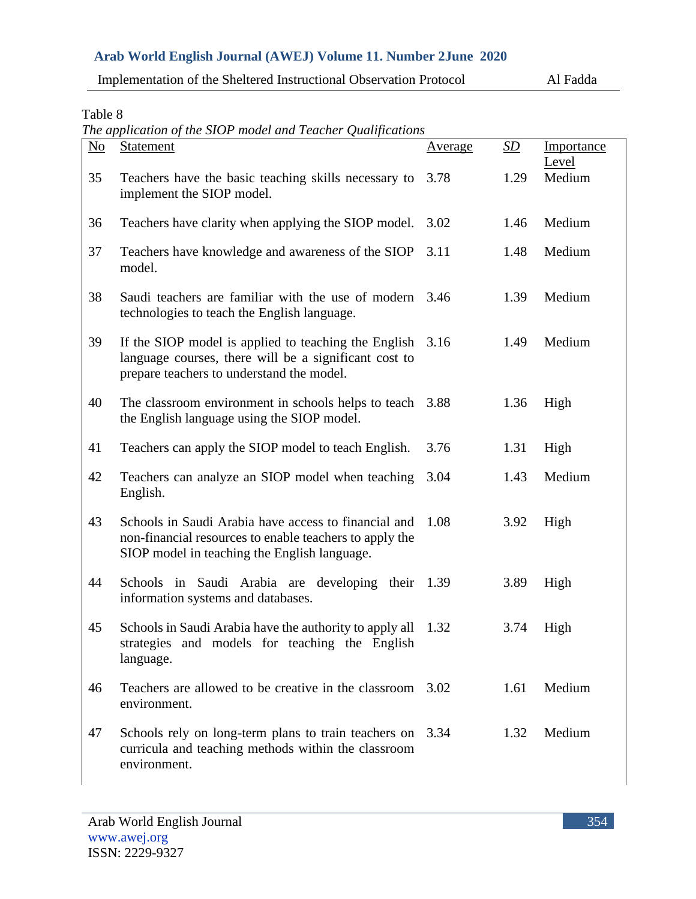| Implementation of the Sheltered Instructional Observation Protocol | Al Fadda |
|--------------------------------------------------------------------|----------|
|--------------------------------------------------------------------|----------|

Table 8

*The application of the SIOP model and Teacher Qualifications*

| $\underline{\mathrm{No}}$ | <b>Statement</b>                                                                                                                                                | <u>Average</u> | <u>SD</u> | Importance      |
|---------------------------|-----------------------------------------------------------------------------------------------------------------------------------------------------------------|----------------|-----------|-----------------|
| 35                        | Teachers have the basic teaching skills necessary to<br>implement the SIOP model.                                                                               | 3.78           | 1.29      | Level<br>Medium |
| 36                        | Teachers have clarity when applying the SIOP model.                                                                                                             | 3.02           | 1.46      | Medium          |
| 37                        | Teachers have knowledge and awareness of the SIOP<br>model.                                                                                                     | 3.11           | 1.48      | Medium          |
| 38                        | Saudi teachers are familiar with the use of modern<br>technologies to teach the English language.                                                               | 3.46           | 1.39      | Medium          |
| 39                        | If the SIOP model is applied to teaching the English<br>language courses, there will be a significant cost to<br>prepare teachers to understand the model.      | 3.16           | 1.49      | Medium          |
| 40                        | The classroom environment in schools helps to teach<br>the English language using the SIOP model.                                                               | 3.88           | 1.36      | High            |
| 41                        | Teachers can apply the SIOP model to teach English.                                                                                                             | 3.76           | 1.31      | High            |
| 42                        | Teachers can analyze an SIOP model when teaching<br>English.                                                                                                    | 3.04           | 1.43      | Medium          |
| 43                        | Schools in Saudi Arabia have access to financial and<br>non-financial resources to enable teachers to apply the<br>SIOP model in teaching the English language. | 1.08           | 3.92      | High            |
| 44                        | Schools in Saudi Arabia are developing their 1.39<br>information systems and databases.                                                                         |                | 3.89      | High            |
| 45                        | Schools in Saudi Arabia have the authority to apply all 1.32<br>strategies and models for teaching the English<br>language.                                     |                | 3.74      | High            |
| 46                        | Teachers are allowed to be creative in the classroom 3.02<br>environment.                                                                                       |                | 1.61      | Medium          |
| 47                        | Schools rely on long-term plans to train teachers on<br>curricula and teaching methods within the classroom<br>environment.                                     | 3.34           | 1.32      | Medium          |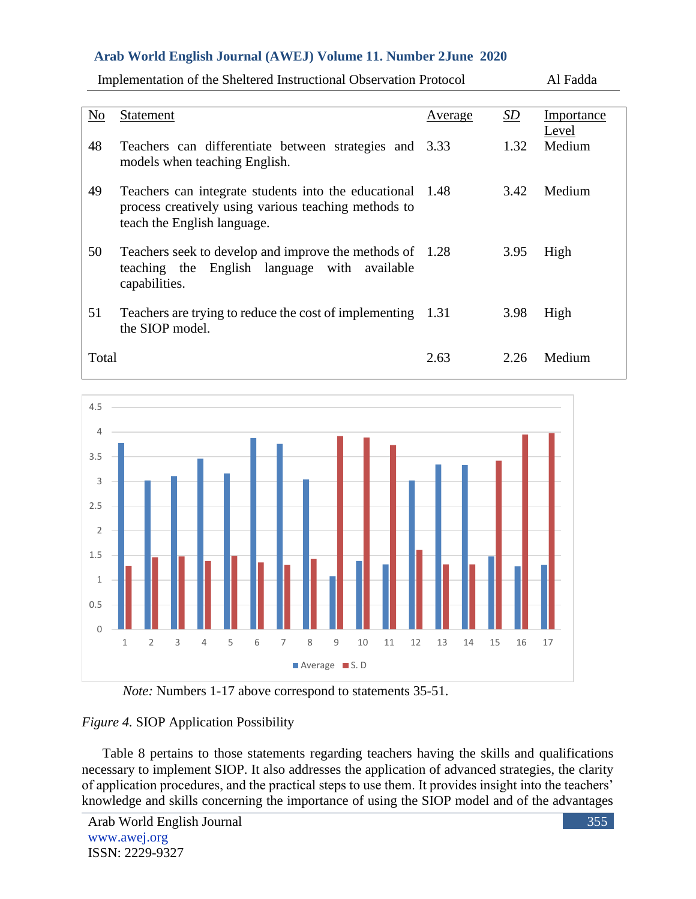| No    | Statement                                                                                                                                        | <u>Average</u> | <u>SD</u> | Importance<br>Level |
|-------|--------------------------------------------------------------------------------------------------------------------------------------------------|----------------|-----------|---------------------|
| 48    | Teachers can differentiate between strategies and 3.33<br>models when teaching English.                                                          |                | 1.32      | Medium              |
| 49    | Teachers can integrate students into the educational 1.48<br>process creatively using various teaching methods to<br>teach the English language. |                | 3.42      | Medium              |
| 50    | Teachers seek to develop and improve the methods of 1.28<br>teaching the English language with available<br>capabilities.                        |                | 3.95      | High                |
| 51    | Teachers are trying to reduce the cost of implementing 1.31<br>the SIOP model.                                                                   |                | 3.98      | High                |
| Total |                                                                                                                                                  | 2.63           | 2.26      | Medium              |



*Note:* Numbers 1-17 above correspond to statements 35-51.

# *Figure 4.* SIOP Application Possibility

Table 8 pertains to those statements regarding teachers having the skills and qualifications necessary to implement SIOP. It also addresses the application of advanced strategies, the clarity of application procedures, and the practical steps to use them. It provides insight into the teachers' knowledge and skills concerning the importance of using the SIOP model and of the advantages

Implementation of the Sheltered Instructional Observation Protocol Al Fadda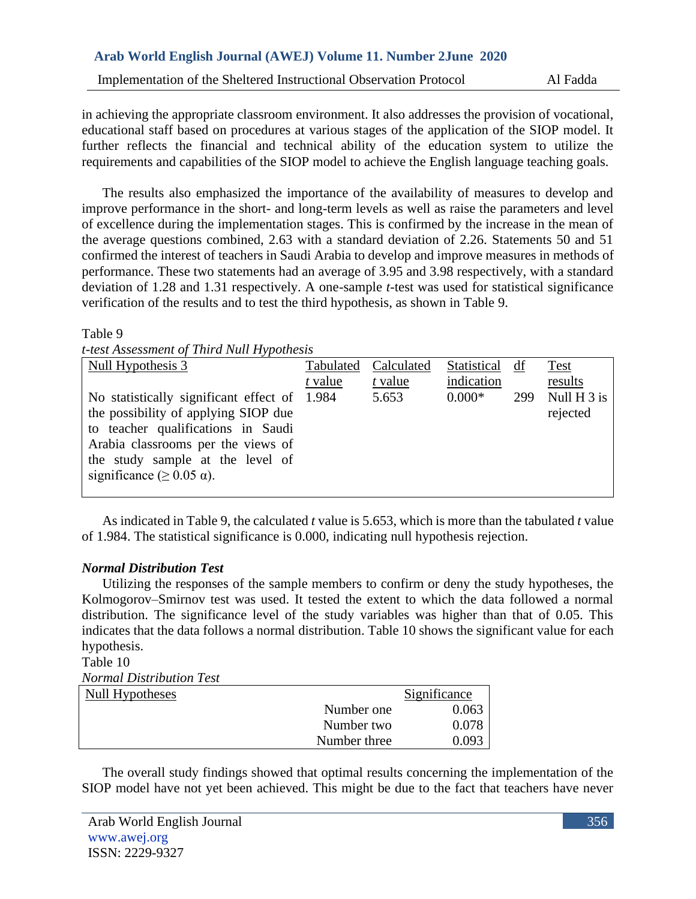Implementation of the Sheltered Instructional Observation Protocol Al Fadda

in achieving the appropriate classroom environment. It also addresses the provision of vocational, educational staff based on procedures at various stages of the application of the SIOP model. It further reflects the financial and technical ability of the education system to utilize the requirements and capabilities of the SIOP model to achieve the English language teaching goals.

The results also emphasized the importance of the availability of measures to develop and improve performance in the short- and long-term levels as well as raise the parameters and level of excellence during the implementation stages. This is confirmed by the increase in the mean of the average questions combined, 2.63 with a standard deviation of 2.26. Statements 50 and 51 confirmed the interest of teachers in Saudi Arabia to develop and improve measures in methods of performance. These two statements had an average of 3.95 and 3.98 respectively, with a standard deviation of 1.28 and 1.31 respectively. A one-sample *t*-test was used for statistical significance verification of the results and to test the third hypothesis, as shown in Table 9.

#### Table 9

*t-test Assessment of Third Null Hypothesis*

| Null Hypothesis 3                            | Tabulated | Calculated | Statistical | df  | <b>Test</b>   |
|----------------------------------------------|-----------|------------|-------------|-----|---------------|
|                                              | t value   | t value    | indication  |     | results       |
| No statistically significant effect of 1.984 |           | 5.653      | $0.000*$    | 299 | Null $H_3$ is |
| the possibility of applying SIOP due         |           |            |             |     | rejected      |
| to teacher qualifications in Saudi           |           |            |             |     |               |
| Arabia classrooms per the views of           |           |            |             |     |               |
| the study sample at the level of             |           |            |             |     |               |
| significance ( $\geq$ 0.05 $\alpha$ ).       |           |            |             |     |               |
|                                              |           |            |             |     |               |

As indicated in Table 9, the calculated *t* value is 5.653, which is more than the tabulated *t* value of 1.984. The statistical significance is 0.000, indicating null hypothesis rejection.

# *Normal Distribution Test*

Utilizing the responses of the sample members to confirm or deny the study hypotheses, the Kolmogorov–Smirnov test was used. It tested the extent to which the data followed a normal distribution. The significance level of the study variables was higher than that of 0.05. This indicates that the data follows a normal distribution. Table 10 shows the significant value for each hypothesis.

Table 10

*Normal Distribution Test*

| $110111000$ D total to the original $200$ |              |              |
|-------------------------------------------|--------------|--------------|
| Null Hypotheses                           |              | Significance |
|                                           | Number one   | 0.063        |
|                                           | Number two   | 0.078        |
|                                           | Number three | 0.093        |

The overall study findings showed that optimal results concerning the implementation of the SIOP model have not yet been achieved. This might be due to the fact that teachers have never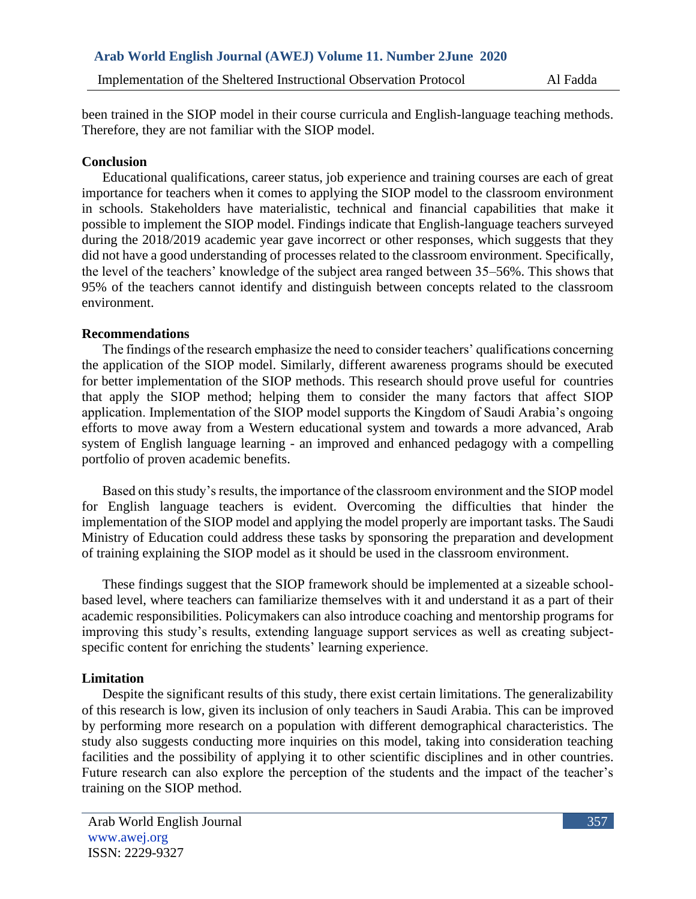been trained in the SIOP model in their course curricula and English-language teaching methods. Therefore, they are not familiar with the SIOP model.

### **Conclusion**

Educational qualifications, career status, job experience and training courses are each of great importance for teachers when it comes to applying the SIOP model to the classroom environment in schools. Stakeholders have materialistic, technical and financial capabilities that make it possible to implement the SIOP model. Findings indicate that English-language teachers surveyed during the 2018/2019 academic year gave incorrect or other responses, which suggests that they did not have a good understanding of processes related to the classroom environment. Specifically, the level of the teachers' knowledge of the subject area ranged between 35–56%. This shows that 95% of the teachers cannot identify and distinguish between concepts related to the classroom environment.

### **Recommendations**

The findings of the research emphasize the need to consider teachers' qualifications concerning the application of the SIOP model. Similarly, different awareness programs should be executed for better implementation of the SIOP methods. This research should prove useful for countries that apply the SIOP method; helping them to consider the many factors that affect SIOP application. Implementation of the SIOP model supports the Kingdom of Saudi Arabia's ongoing efforts to move away from a Western educational system and towards a more advanced, Arab system of English language learning - an improved and enhanced pedagogy with a compelling portfolio of proven academic benefits.

Based on this study's results, the importance of the classroom environment and the SIOP model for English language teachers is evident. Overcoming the difficulties that hinder the implementation of the SIOP model and applying the model properly are important tasks. The Saudi Ministry of Education could address these tasks by sponsoring the preparation and development of training explaining the SIOP model as it should be used in the classroom environment.

These findings suggest that the SIOP framework should be implemented at a sizeable schoolbased level, where teachers can familiarize themselves with it and understand it as a part of their academic responsibilities. Policymakers can also introduce coaching and mentorship programs for improving this study's results, extending language support services as well as creating subjectspecific content for enriching the students' learning experience.

# **Limitation**

Despite the significant results of this study, there exist certain limitations. The generalizability of this research is low, given its inclusion of only teachers in Saudi Arabia. This can be improved by performing more research on a population with different demographical characteristics. The study also suggests conducting more inquiries on this model, taking into consideration teaching facilities and the possibility of applying it to other scientific disciplines and in other countries. Future research can also explore the perception of the students and the impact of the teacher's training on the SIOP method.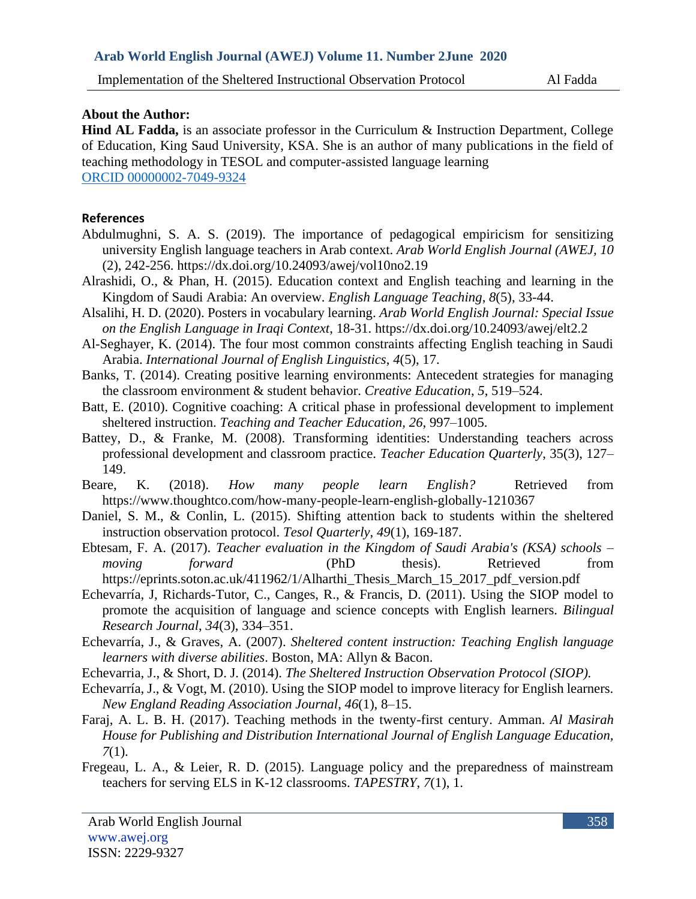### **About the Author:**

**Hind AL Fadda,** is an associate professor in the Curriculum & Instruction Department, College of Education, King Saud University, KSA. She is an author of many publications in the field of teaching methodology in TESOL and computer-assisted language learning ORCID 00000002-7049-9324

### **References**

- Abdulmughni, S. A. S. (2019). The importance of pedagogical empiricism for sensitizing university English language teachers in Arab context. *Arab World English Journal (AWEJ, 10* (2), 242-256. https://dx.doi.org/10.24093/awej/vol10no2.19
- Alrashidi, O., & Phan, H. (2015). Education context and English teaching and learning in the Kingdom of Saudi Arabia: An overview. *English Language Teaching*, *8*(5), 33-44.
- Alsalihi, H. D. (2020). Posters in vocabulary learning. *Arab World English Journal: Special Issue on the English Language in Iraqi Context*, 18-31. https://dx.doi.org/10.24093/awej/elt2.2
- Al-Seghayer, K. (2014). The four most common constraints affecting English teaching in Saudi Arabia. *International Journal of English Linguistics*, *4*(5), 17.
- Banks, T. (2014). Creating positive learning environments: Antecedent strategies for managing the classroom environment & student behavior. *Creative Education*, *5*, 519–524.
- Batt, E. (2010). Cognitive coaching: A critical phase in professional development to implement sheltered instruction. *Teaching and Teacher Education, 26*, 997–1005.
- Battey, D., & Franke, M. (2008). Transforming identities: Understanding teachers across professional development and classroom practice. *Teacher Education Quarterly*, 35(3), 127– 149.
- Beare, K. (2018). *How many people learn English?* Retrieved from https://www.thoughtco.com/how-many-people-learn-english-globally-1210367
- Daniel, S. M., & Conlin, L. (2015). Shifting attention back to students within the sheltered instruction observation protocol. *Tesol Quarterly*, *49*(1), 169-187.
- Ebtesam, F. A. (2017). *Teacher evaluation in the Kingdom of Saudi Arabia's (KSA) schools – moving forward* (PhD thesis). Retrieved from https://eprints.soton.ac.uk/411962/1/Alharthi\_Thesis\_March\_15\_2017\_pdf\_version.pdf
- Echevarría, J, Richards-Tutor, C., Canges, R., & Francis, D. (2011). Using the SIOP model to promote the acquisition of language and science concepts with English learners. *Bilingual Research Journal*, *34*(3), 334–351.
- Echevarría, J., & Graves, A. (2007). *Sheltered content instruction: Teaching English language learners with diverse abilities*. Boston, MA: Allyn & Bacon.
- Echevarria, J., & Short, D. J. (2014). *The Sheltered Instruction Observation Protocol (SIOP).*
- Echevarría, J., & Vogt, M. (2010). Using the SIOP model to improve literacy for English learners. *New England Reading Association Journal*, *46*(1), 8–15.
- Faraj, A. L. B. H. (2017). Teaching methods in the twenty-first century. Amman. *Al Masirah House for Publishing and Distribution International Journal of English Language Education, 7*(1).
- Fregeau, L. A., & Leier, R. D. (2015). Language policy and the preparedness of mainstream teachers for serving ELS in K-12 classrooms. *TAPESTRY*, *7*(1), 1.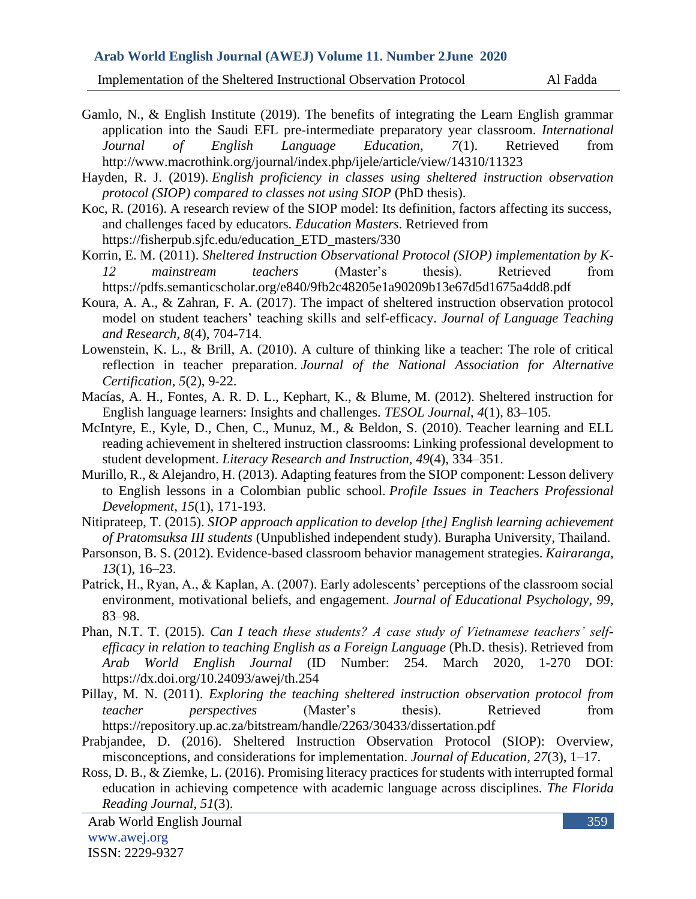Implementation of the Sheltered Instructional Observation Protocol Al Fadda

- Gamlo, N., & English Institute (2019). The benefits of integrating the Learn English grammar application into the Saudi EFL pre-intermediate preparatory year classroom. *International Journal of English Language Education, 7*(1). Retrieved from http://www.macrothink.org/journal/index.php/ijele/article/view/14310/11323
- Hayden, R. J. (2019). *English proficiency in classes using sheltered instruction observation protocol (SIOP) compared to classes not using SIOP* (PhD thesis).
- Koc, R. (2016). A research review of the SIOP model: Its definition, factors affecting its success, and challenges faced by educators. *Education Masters*. Retrieved from https://fisherpub.sjfc.edu/education\_ETD\_masters/330
- Korrin, E. M. (2011). *Sheltered Instruction Observational Protocol (SIOP) implementation by K-12 mainstream teachers* (Master's thesis). Retrieved from https://pdfs.semanticscholar.org/e840/9fb2c48205e1a90209b13e67d5d1675a4dd8.pdf
- Koura, A. A., & Zahran, F. A. (2017). The impact of sheltered instruction observation protocol model on student teachers' teaching skills and self-efficacy. *Journal of Language Teaching and Research*, *8*(4), 704-714.
- Lowenstein, K. L., & Brill, A. (2010). A culture of thinking like a teacher: The role of critical reflection in teacher preparation. *Journal of the National Association for Alternative Certification*, *5*(2), 9-22.
- Macías, A. H., Fontes, A. R. D. L., Kephart, K., & Blume, M. (2012). Sheltered instruction for English language learners: Insights and challenges. *TESOL Journal*, *4*(1), 83–105.
- McIntyre, E., Kyle, D., Chen, C., Munuz, M., & Beldon, S. (2010). Teacher learning and ELL reading achievement in sheltered instruction classrooms: Linking professional development to student development. *Literacy Research and Instruction*, *49*(4), 334–351.
- Murillo, R., & Alejandro, H. (2013). Adapting features from the SIOP component: Lesson delivery to English lessons in a Colombian public school. *Profile Issues in Teachers Professional Development*, *15*(1), 171-193.
- Nitiprateep, T. (2015). *SIOP approach application to develop [the] English learning achievement of Pratomsuksa III students* (Unpublished independent study). Burapha University, Thailand.
- Parsonson, B. S. (2012). Evidence-based classroom behavior management strategies. *Kairaranga, 13*(1), 16–23.
- Patrick, H., Ryan, A., & Kaplan, A. (2007). Early adolescents' perceptions of the classroom social environment, motivational beliefs, and engagement. *Journal of Educational Psychology*, *99*, 83–98.
- Phan, N.T. T. (2015). *Can I teach these students? A case study of Vietnamese teachers' selfefficacy in relation to teaching English as a Foreign Language* (Ph.D. thesis). Retrieved from *Arab World English Journal* (ID Number: 254. March 2020, 1-270 DOI: https://dx.doi.org/10.24093/awej/th.254
- Pillay, M. N. (2011). *Exploring the teaching sheltered instruction observation protocol from teacher perspectives* (Master's thesis). Retrieved from https://repository.up.ac.za/bitstream/handle/2263/30433/dissertation.pdf
- Prabjandee, D. (2016). Sheltered Instruction Observation Protocol (SIOP): Overview, misconceptions, and considerations for implementation. *Journal of Education, 27*(3), 1–17.
- Ross, D. B., & Ziemke, L. (2016). Promising literacy practices for students with interrupted formal education in achieving competence with academic language across disciplines. *The Florida Reading Journal*, *51*(3).